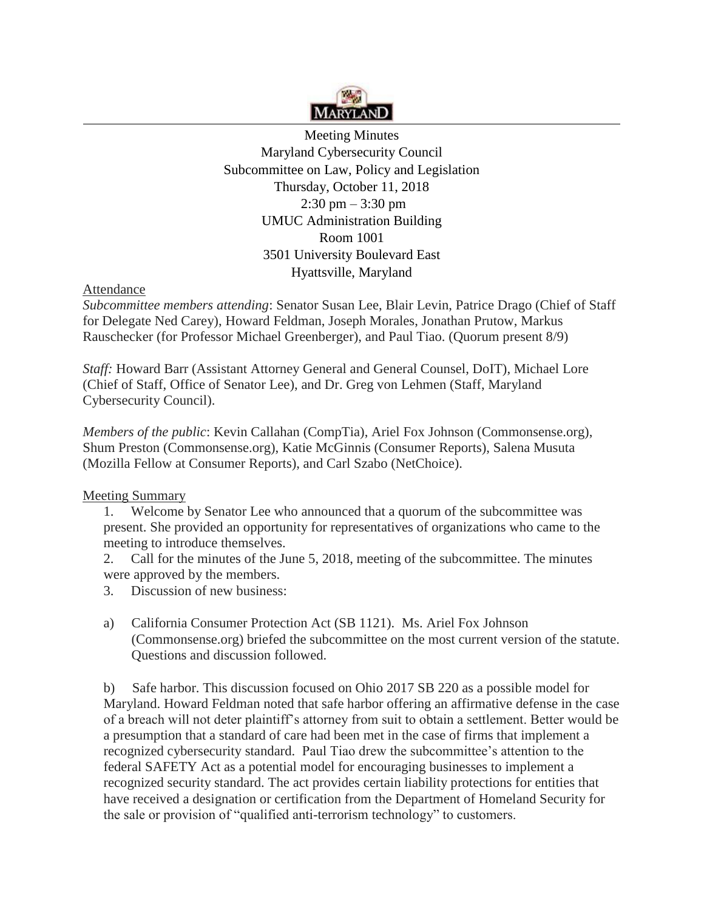

Meeting Minutes Maryland Cybersecurity Council Subcommittee on Law, Policy and Legislation Thursday, October 11, 2018  $2:30 \text{ pm} - 3:30 \text{ pm}$ UMUC Administration Building Room 1001 3501 University Boulevard East Hyattsville, Maryland

## Attendance

*Subcommittee members attending*: Senator Susan Lee, Blair Levin, Patrice Drago (Chief of Staff for Delegate Ned Carey), Howard Feldman, Joseph Morales, Jonathan Prutow, Markus Rauschecker (for Professor Michael Greenberger), and Paul Tiao. (Quorum present 8/9)

*Staff:* Howard Barr (Assistant Attorney General and General Counsel, DoIT), Michael Lore (Chief of Staff, Office of Senator Lee), and Dr. Greg von Lehmen (Staff, Maryland Cybersecurity Council).

*Members of the public*: Kevin Callahan (CompTia), Ariel Fox Johnson [\(Commonsense.org\)](http://Commonsense.org), Shum Preston [\(Commonsense.org\)](http://Commonsense.org), Katie McGinnis (Consumer Reports), Salena Musuta (Mozilla Fellow at Consumer Reports), and Carl Szabo (NetChoice).

## Meeting Summary

1. Welcome by Senator Lee who announced that a quorum of the subcommittee was present. She provided an opportunity for representatives of organizations who came to the meeting to introduce themselves.

2. Call for the minutes of the June 5, 2018, meeting of the subcommittee. The minutes were approved by the members.

3. Discussion of new business:

a) California Consumer Protection Act (SB 1121). Ms. Ariel Fox Johnson [\(Commonsense.org\)](http://Commonsense.org) briefed the subcommittee on the most current version of the statute. Questions and discussion followed.

 recognized cybersecurity standard. Paul Tiao drew the subcommittee's attention to the b) Safe harbor. This discussion focused on Ohio 2017 SB 220 as a possible model for Maryland. Howard Feldman noted that safe harbor offering an affirmative defense in the case of a breach will not deter plaintiff's attorney from suit to obtain a settlement. Better would be a presumption that a standard of care had been met in the case of firms that implement a federal SAFETY Act as a potential model for encouraging businesses to implement a recognized security standard. The act provides certain liability protections for entities that have received a designation or certification from the Department of Homeland Security for the sale or provision of "qualified anti-terrorism technology" to customers.